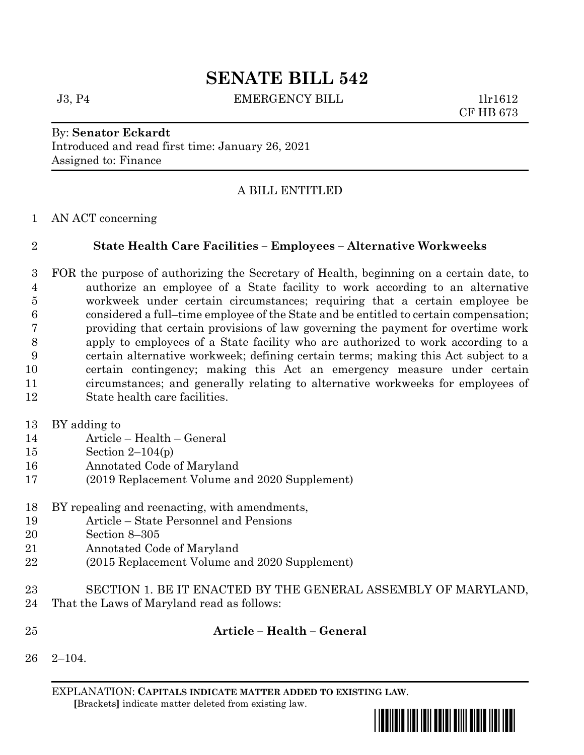# **SENATE BILL 542**

J3, P4 EMERGENCY BILL 1lr1612

CF HB 673

#### By: **Senator Eckardt** Introduced and read first time: January 26, 2021 Assigned to: Finance

# A BILL ENTITLED

#### AN ACT concerning

### **State Health Care Facilities – Employees – Alternative Workweeks**

 FOR the purpose of authorizing the Secretary of Health, beginning on a certain date, to authorize an employee of a State facility to work according to an alternative workweek under certain circumstances; requiring that a certain employee be considered a full–time employee of the State and be entitled to certain compensation; providing that certain provisions of law governing the payment for overtime work apply to employees of a State facility who are authorized to work according to a certain alternative workweek; defining certain terms; making this Act subject to a certain contingency; making this Act an emergency measure under certain circumstances; and generally relating to alternative workweeks for employees of State health care facilities.

BY adding to

- Article Health General
- Section 2–104(p)
- Annotated Code of Maryland
- (2019 Replacement Volume and 2020 Supplement)

#### BY repealing and reenacting, with amendments,

- Article State Personnel and Pensions
- Section 8–305
- Annotated Code of Maryland
- (2015 Replacement Volume and 2020 Supplement)
- SECTION 1. BE IT ENACTED BY THE GENERAL ASSEMBLY OF MARYLAND,
- That the Laws of Maryland read as follows:
- 

## **Article – Health – General**

2–104.

EXPLANATION: **CAPITALS INDICATE MATTER ADDED TO EXISTING LAW**.  **[**Brackets**]** indicate matter deleted from existing law.

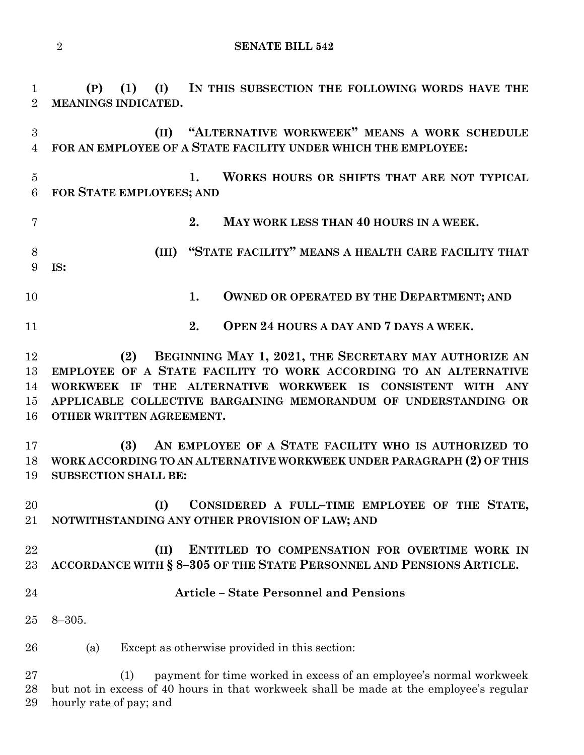```
2 SENATE BILL 542
```
**(P) (1) (I) IN THIS SUBSECTION THE FOLLOWING WORDS HAVE THE** 

 **(II) "ALTERNATIVE WORKWEEK" MEANS A WORK SCHEDULE FOR AN EMPLOYEE OF A STATE FACILITY UNDER WHICH THE EMPLOYEE: 1. WORKS HOURS OR SHIFTS THAT ARE NOT TYPICAL FOR STATE EMPLOYEES; AND 2. MAY WORK LESS THAN 40 HOURS IN A WEEK. (III) "STATE FACILITY" MEANS A HEALTH CARE FACILITY THAT IS:** 10 1. OWNED OR OPERATED BY THE DEPARTMENT; AND **2. OPEN 24 HOURS A DAY AND 7 DAYS A WEEK. (2) BEGINNING MAY 1, 2021, THE SECRETARY MAY AUTHORIZE AN EMPLOYEE OF A STATE FACILITY TO WORK ACCORDING TO AN ALTERNATIVE WORKWEEK IF THE ALTERNATIVE WORKWEEK IS CONSISTENT WITH ANY APPLICABLE COLLECTIVE BARGAINING MEMORANDUM OF UNDERSTANDING OR OTHER WRITTEN AGREEMENT. (3) AN EMPLOYEE OF A STATE FACILITY WHO IS AUTHORIZED TO WORK ACCORDING TO AN ALTERNATIVE WORKWEEK UNDER PARAGRAPH (2) OF THIS SUBSECTION SHALL BE: (I) CONSIDERED A FULL–TIME EMPLOYEE OF THE STATE, NOTWITHSTANDING ANY OTHER PROVISION OF LAW; AND (II) ENTITLED TO COMPENSATION FOR OVERTIME WORK IN ACCORDANCE WITH § 8–305 OF THE STATE PERSONNEL AND PENSIONS ARTICLE. Article – State Personnel and Pensions** 8–305. (a) Except as otherwise provided in this section: (1) payment for time worked in excess of an employee's normal workweek but not in excess of 40 hours in that workweek shall be made at the employee's regular hourly rate of pay; and

**MEANINGS INDICATED.**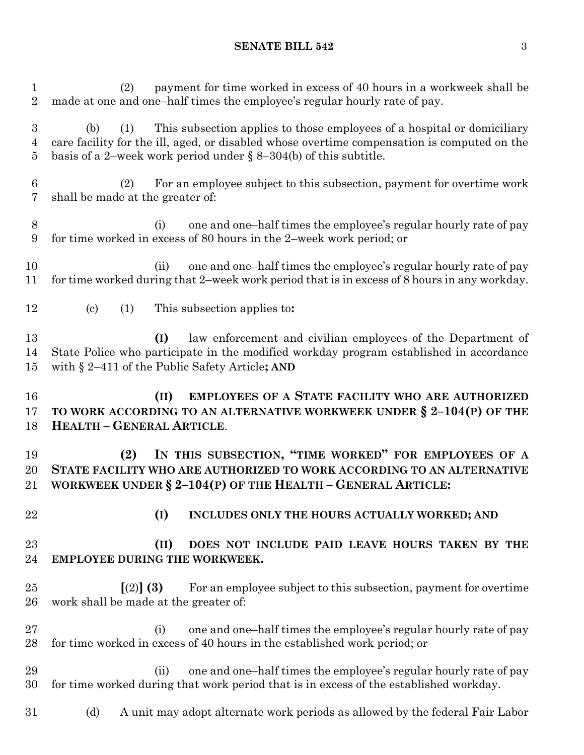### **SENATE BILL 542** 3

| $\mathbf 1$<br>$\overline{2}$ | payment for time worked in excess of 40 hours in a workweek shall be<br>(2)<br>made at one and one-half times the employee's regular hourly rate of pay.                                                                                                    |
|-------------------------------|-------------------------------------------------------------------------------------------------------------------------------------------------------------------------------------------------------------------------------------------------------------|
| 3<br>4<br>5                   | This subsection applies to those employees of a hospital or domiciliary<br>(b)<br>(1)<br>care facility for the ill, aged, or disabled whose overtime compensation is computed on the<br>basis of a 2-week work period under $\S$ 8-304(b) of this subtitle. |
| 6<br>7                        | For an employee subject to this subsection, payment for overtime work<br>(2)<br>shall be made at the greater of:                                                                                                                                            |
| 8<br>9                        | one and one-half times the employee's regular hourly rate of pay<br>(i)<br>for time worked in excess of 80 hours in the 2-week work period; or                                                                                                              |
| 10<br>11                      | one and one-half times the employee's regular hourly rate of pay<br>(ii)<br>for time worked during that 2-week work period that is in excess of 8 hours in any workday.                                                                                     |
| 12                            | $\left( \mathrm{c}\right)$<br>(1)<br>This subsection applies to:                                                                                                                                                                                            |
| 13<br>14<br>15                | law enforcement and civilian employees of the Department of<br>(I)<br>State Police who participate in the modified workday program established in accordance<br>with $\S 2-411$ of the Public Safety Article; AND                                           |
|                               |                                                                                                                                                                                                                                                             |
| 16<br>17<br>18                | EMPLOYEES OF A STATE FACILITY WHO ARE AUTHORIZED<br>(II)<br>TO WORK ACCORDING TO AN ALTERNATIVE WORKWEEK UNDER § 2-104(P) OF THE<br><b>HEALTH - GENERAL ARTICLE.</b>                                                                                        |
| 19<br>20<br>21                | IN THIS SUBSECTION, "TIME WORKED" FOR EMPLOYEES OF A<br>(2)<br>STATE FACILITY WHO ARE AUTHORIZED TO WORK ACCORDING TO AN ALTERNATIVE<br>WORKWEEK UNDER $\S 2-104(P)$ OF THE HEALTH - GENERAL ARTICLE:                                                       |
| 22                            | (I)<br>INCLUDES ONLY THE HOURS ACTUALLY WORKED; AND                                                                                                                                                                                                         |
| 23<br>24                      | (II)<br>DOES NOT INCLUDE PAID LEAVE HOURS TAKEN BY THE<br>EMPLOYEE DURING THE WORKWEEK.                                                                                                                                                                     |
| 25<br>26                      | For an employee subject to this subsection, payment for overtime<br>$(2)$ (3)<br>work shall be made at the greater of:                                                                                                                                      |
| $27\,$<br>28                  | one and one-half times the employee's regular hourly rate of pay<br>(i)<br>for time worked in excess of 40 hours in the established work period; or                                                                                                         |
| 29<br>30                      | one and one-half times the employee's regular hourly rate of pay<br>(ii)<br>for time worked during that work period that is in excess of the established workday.                                                                                           |